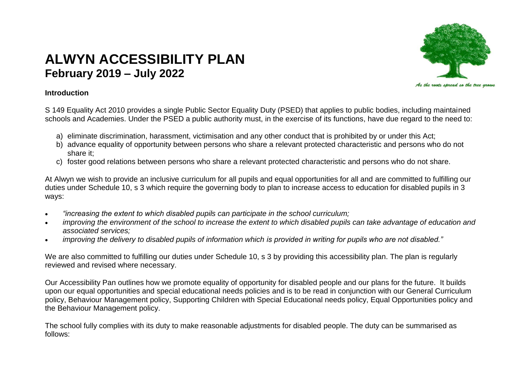# **ALWYN ACCESSIBILITY PLAN February 2019 – July 2022**



## **Introduction**

S 149 Equality Act 2010 provides a single Public Sector Equality Duty (PSED) that applies to public bodies, including maintained schools and Academies. Under the PSED a public authority must, in the exercise of its functions, have due regard to the need to:

- a) eliminate discrimination, harassment, victimisation and any other conduct that is prohibited by or under this Act;
- b) advance equality of opportunity between persons who share a relevant protected characteristic and persons who do not share it;
- c) foster good relations between persons who share a relevant protected characteristic and persons who do not share.

At Alwyn we wish to provide an inclusive curriculum for all pupils and equal opportunities for all and are committed to fulfilling our duties under Schedule 10, s 3 which require the governing body to plan to increase access to education for disabled pupils in 3 ways:

- *"increasing the extent to which disabled pupils can participate in the school curriculum;*
- *improving the environment of the school to increase the extent to which disabled pupils can take advantage of education and associated services;*
- *improving the delivery to disabled pupils of information which is provided in writing for pupils who are not disabled."*

We are also committed to fulfilling our duties under Schedule 10, s 3 by providing this accessibility plan. The plan is regularly reviewed and revised where necessary.

Our Accessibility Pan outlines how we promote equality of opportunity for disabled people and our plans for the future. It builds upon our equal opportunities and special educational needs policies and is to be read in conjunction with our General Curriculum policy, Behaviour Management policy, Supporting Children with Special Educational needs policy, Equal Opportunities policy and the Behaviour Management policy.

The school fully complies with its duty to make reasonable adjustments for disabled people. The duty can be summarised as follows: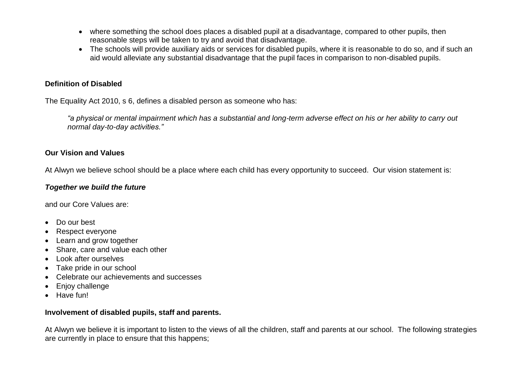- where something the school does places a disabled pupil at a disadvantage, compared to other pupils, then reasonable steps will be taken to try and avoid that disadvantage.
- The schools will provide auxiliary aids or services for disabled pupils, where it is reasonable to do so, and if such an aid would alleviate any substantial disadvantage that the pupil faces in comparison to non-disabled pupils.

## **Definition of Disabled**

The Equality Act 2010, s 6, defines a disabled person as someone who has:

*"a physical or mental impairment which has a substantial and long-term adverse effect on his or her ability to carry out normal day-to-day activities."*

## **Our Vision and Values**

At Alwyn we believe school should be a place where each child has every opportunity to succeed. Our vision statement is:

#### *Together we build the future*

and our Core Values are:

- Do our best
- Respect everyone
- Learn and grow together
- Share, care and value each other
- Look after ourselves
- Take pride in our school
- Celebrate our achievements and successes
- Enjoy challenge
- Have fun!

## **Involvement of disabled pupils, staff and parents.**

At Alwyn we believe it is important to listen to the views of all the children, staff and parents at our school. The following strategies are currently in place to ensure that this happens;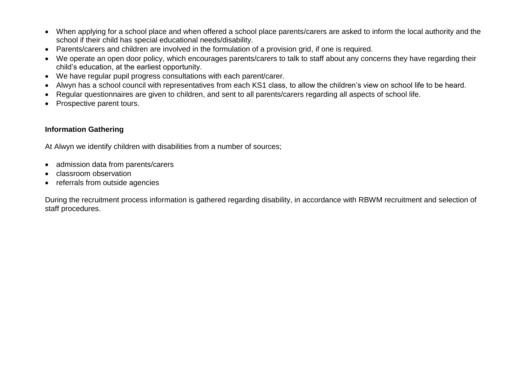- When applying for a school place and when offered a school place parents/carers are asked to inform the local authority and the school if their child has special educational needs/disability.
- Parents/carers and children are involved in the formulation of a provision grid, if one is required.
- We operate an open door policy, which encourages parents/carers to talk to staff about any concerns they have regarding their child's education, at the earliest opportunity.
- We have regular pupil progress consultations with each parent/carer.
- Alwyn has a school council with representatives from each KS1 class, to allow the children's view on school life to be heard.
- Regular questionnaires are given to children, and sent to all parents/carers regarding all aspects of school life.
- Prospective parent tours.

## **Information Gathering**

At Alwyn we identify children with disabilities from a number of sources;

- admission data from parents/carers
- classroom observation
- referrals from outside agencies

During the recruitment process information is gathered regarding disability, in accordance with RBWM recruitment and selection of staff procedures.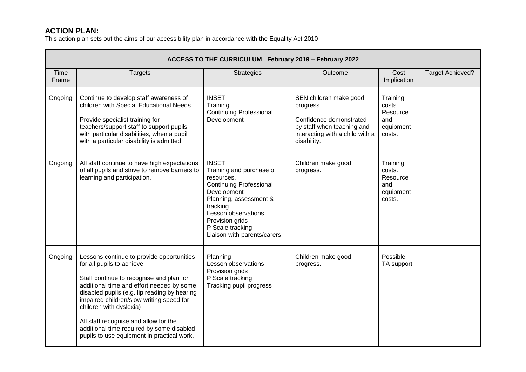# **ACTION PLAN:**

This action plan sets out the aims of our accessibility plan in accordance with the Equality Act 2010

|                      | ACCESS TO THE CURRICULUM February 2019 - February 2022                                                                                                                                                                                                                                                                                                                                                                      |                                                                                                                                                                                                                                            |                                                                                                                                                |                                                              |                         |  |  |  |
|----------------------|-----------------------------------------------------------------------------------------------------------------------------------------------------------------------------------------------------------------------------------------------------------------------------------------------------------------------------------------------------------------------------------------------------------------------------|--------------------------------------------------------------------------------------------------------------------------------------------------------------------------------------------------------------------------------------------|------------------------------------------------------------------------------------------------------------------------------------------------|--------------------------------------------------------------|-------------------------|--|--|--|
| <b>Time</b><br>Frame | <b>Targets</b>                                                                                                                                                                                                                                                                                                                                                                                                              | <b>Strategies</b>                                                                                                                                                                                                                          | Outcome                                                                                                                                        | Cost<br>Implication                                          | <b>Target Achieved?</b> |  |  |  |
| Ongoing              | Continue to develop staff awareness of<br>children with Special Educational Needs.<br>Provide specialist training for<br>teachers/support staff to support pupils<br>with particular disabilities, when a pupil<br>with a particular disability is admitted.                                                                                                                                                                | <b>INSET</b><br>Training<br><b>Continuing Professional</b><br>Development                                                                                                                                                                  | SEN children make good<br>progress.<br>Confidence demonstrated<br>by staff when teaching and<br>interacting with a child with a<br>disability. | Training<br>costs.<br>Resource<br>and<br>equipment<br>costs. |                         |  |  |  |
| Ongoing              | All staff continue to have high expectations<br>of all pupils and strive to remove barriers to<br>learning and participation.                                                                                                                                                                                                                                                                                               | <b>INSET</b><br>Training and purchase of<br>resources,<br><b>Continuing Professional</b><br>Development<br>Planning, assessment &<br>tracking<br>Lesson observations<br>Provision grids<br>P Scale tracking<br>Liaison with parents/carers | Children make good<br>progress.                                                                                                                | Training<br>costs.<br>Resource<br>and<br>equipment<br>costs. |                         |  |  |  |
| Ongoing              | Lessons continue to provide opportunities<br>for all pupils to achieve.<br>Staff continue to recognise and plan for<br>additional time and effort needed by some<br>disabled pupils (e.g. lip reading by hearing<br>impaired children/slow writing speed for<br>children with dyslexia)<br>All staff recognise and allow for the<br>additional time required by some disabled<br>pupils to use equipment in practical work. | Planning<br>Lesson observations<br>Provision grids<br>P Scale tracking<br>Tracking pupil progress                                                                                                                                          | Children make good<br>progress.                                                                                                                | Possible<br>TA support                                       |                         |  |  |  |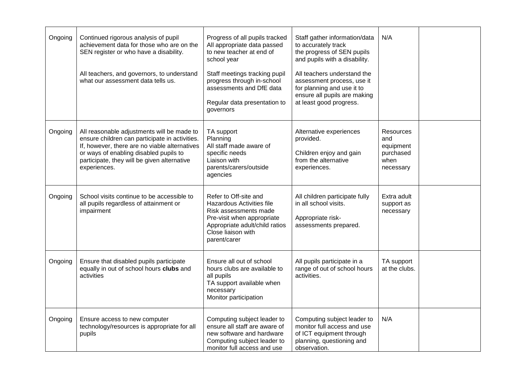| Ongoing | Continued rigorous analysis of pupil<br>achievement data for those who are on the<br>SEN register or who have a disability.<br>All teachers, and governors, to understand<br>what our assessment data tells us.                                        | Progress of all pupils tracked<br>All appropriate data passed<br>to new teacher at end of<br>school year<br>Staff meetings tracking pupil<br>progress through in-school<br>assessments and DfE data<br>Regular data presentation to<br>governors | Staff gather information/data<br>to accurately track<br>the progress of SEN pupils<br>and pupils with a disability.<br>All teachers understand the<br>assessment process, use it<br>for planning and use it to<br>ensure all pupils are making<br>at least good progress. | N/A                                                             |  |
|---------|--------------------------------------------------------------------------------------------------------------------------------------------------------------------------------------------------------------------------------------------------------|--------------------------------------------------------------------------------------------------------------------------------------------------------------------------------------------------------------------------------------------------|---------------------------------------------------------------------------------------------------------------------------------------------------------------------------------------------------------------------------------------------------------------------------|-----------------------------------------------------------------|--|
| Ongoing | All reasonable adjustments will be made to<br>ensure children can participate in activities.<br>If, however, there are no viable alternatives<br>or ways of enabling disabled pupils to<br>participate, they will be given alternative<br>experiences. | TA support<br>Planning<br>All staff made aware of<br>specific needs<br>Liaison with<br>parents/carers/outside<br>agencies                                                                                                                        | Alternative experiences<br>provided.<br>Children enjoy and gain<br>from the alternative<br>experiences.                                                                                                                                                                   | Resources<br>and<br>equipment<br>purchased<br>when<br>necessary |  |
| Ongoing | School visits continue to be accessible to<br>all pupils regardless of attainment or<br>impairment                                                                                                                                                     | Refer to Off-site and<br><b>Hazardous Activities file</b><br>Risk assessments made<br>Pre-visit when appropriate<br>Appropriate adult/child ratios<br>Close liaison with<br>parent/carer                                                         | All children participate fully<br>in all school visits.<br>Appropriate risk-<br>assessments prepared.                                                                                                                                                                     | Extra adult<br>support as<br>necessary                          |  |
| Ongoing | Ensure that disabled pupils participate<br>equally in out of school hours clubs and<br>activities                                                                                                                                                      | Ensure all out of school<br>hours clubs are available to<br>all pupils<br>TA support available when<br>necessary<br>Monitor participation                                                                                                        | All pupils participate in a<br>range of out of school hours<br>activities.                                                                                                                                                                                                | TA support<br>at the clubs.                                     |  |
| Ongoing | Ensure access to new computer<br>technology/resources is appropriate for all<br>pupils                                                                                                                                                                 | Computing subject leader to<br>ensure all staff are aware of<br>new software and hardware<br>Computing subject leader to<br>monitor full access and use                                                                                          | Computing subject leader to<br>monitor full access and use<br>of ICT equipment through<br>planning, questioning and<br>observation.                                                                                                                                       | N/A                                                             |  |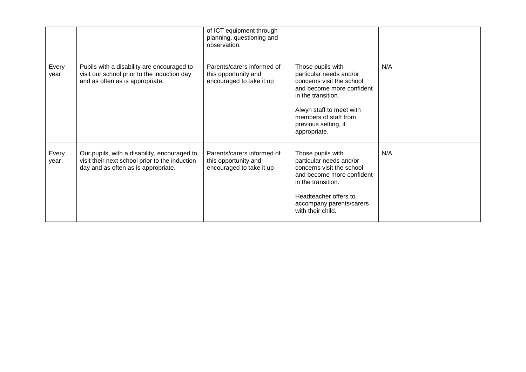|               |                                                                                                                                       | of ICT equipment through<br>planning, questioning and<br>observation.          |                                                                                                                                                                                                                           |     |  |
|---------------|---------------------------------------------------------------------------------------------------------------------------------------|--------------------------------------------------------------------------------|---------------------------------------------------------------------------------------------------------------------------------------------------------------------------------------------------------------------------|-----|--|
| Every<br>year | Pupils with a disability are encouraged to<br>visit our school prior to the induction day<br>and as often as is appropriate.          | Parents/carers informed of<br>this opportunity and<br>encouraged to take it up | Those pupils with<br>particular needs and/or<br>concerns visit the school<br>and become more confident<br>in the transition.<br>Alwyn staff to meet with<br>members of staff from<br>previous setting, if<br>appropriate. | N/A |  |
| Every<br>year | Our pupils, with a disability, encouraged to<br>visit their next school prior to the induction<br>day and as often as is appropriate. | Parents/carers informed of<br>this opportunity and<br>encouraged to take it up | Those pupils with<br>particular needs and/or<br>concerns visit the school<br>and become more confident<br>in the transition.<br>Headteacher offers to<br>accompany parents/carers<br>with their child.                    | N/A |  |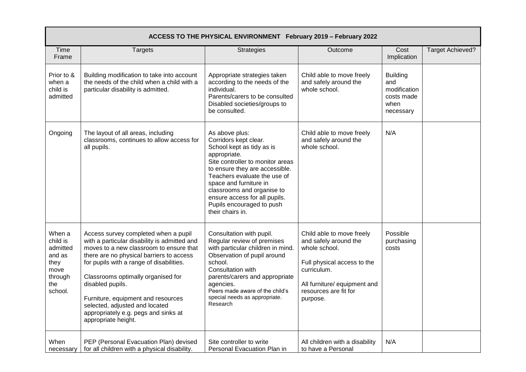| Time<br>Frame                                                                         | <b>Targets</b>                                                                                                                                                                                                                                                                                                                                                                                                           | <b>Strategies</b>                                                                                                                                                                                                                                                                                                                    | Outcome                                                                                                                                                                                | Cost<br>Implication                                                       | <b>Target Achieved?</b> |
|---------------------------------------------------------------------------------------|--------------------------------------------------------------------------------------------------------------------------------------------------------------------------------------------------------------------------------------------------------------------------------------------------------------------------------------------------------------------------------------------------------------------------|--------------------------------------------------------------------------------------------------------------------------------------------------------------------------------------------------------------------------------------------------------------------------------------------------------------------------------------|----------------------------------------------------------------------------------------------------------------------------------------------------------------------------------------|---------------------------------------------------------------------------|-------------------------|
| Prior to &<br>when a<br>child is<br>admitted                                          | Building modification to take into account<br>the needs of the child when a child with a<br>particular disability is admitted.                                                                                                                                                                                                                                                                                           | Appropriate strategies taken<br>according to the needs of the<br>individual.<br>Parents/carers to be consulted<br>Disabled societies/groups to<br>be consulted.                                                                                                                                                                      | Child able to move freely<br>and safely around the<br>whole school.                                                                                                                    | <b>Building</b><br>and<br>modification<br>costs made<br>when<br>necessary |                         |
| Ongoing                                                                               | The layout of all areas, including<br>classrooms, continues to allow access for<br>all pupils.                                                                                                                                                                                                                                                                                                                           | As above plus:<br>Corridors kept clear.<br>School kept as tidy as is<br>appropriate.<br>Site controller to monitor areas<br>to ensure they are accessible.<br>Teachers evaluate the use of<br>space and furniture in<br>classrooms and organise to<br>ensure access for all pupils.<br>Pupils encouraged to push<br>their chairs in. | Child able to move freely<br>and safely around the<br>whole school.                                                                                                                    | N/A                                                                       |                         |
| When a<br>child is<br>admitted<br>and as<br>they<br>move<br>through<br>the<br>school. | Access survey completed when a pupil<br>with a particular disability is admitted and<br>moves to a new classroom to ensure that<br>there are no physical barriers to access<br>for pupils with a range of disabilities.<br>Classrooms optimally organised for<br>disabled pupils.<br>Furniture, equipment and resources<br>selected, adjusted and located<br>appropriately e.g. pegs and sinks at<br>appropriate height. | Consultation with pupil.<br>Regular review of premises<br>with particular children in mind.<br>Observation of pupil around<br>school.<br>Consultation with<br>parents/carers and appropriate<br>agencies.<br>Peers made aware of the child's<br>special needs as appropriate.<br>Research                                            | Child able to move freely<br>and safely around the<br>whole school.<br>Full physical access to the<br>curriculum.<br>All furniture/ equipment and<br>resources are fit for<br>purpose. | Possible<br>purchasing<br>costs                                           |                         |
| When<br>necessary                                                                     | PEP (Personal Evacuation Plan) devised<br>for all children with a physical disability.                                                                                                                                                                                                                                                                                                                                   | Site controller to write<br>Personal Evacuation Plan in                                                                                                                                                                                                                                                                              | All children with a disability<br>to have a Personal                                                                                                                                   | N/A                                                                       |                         |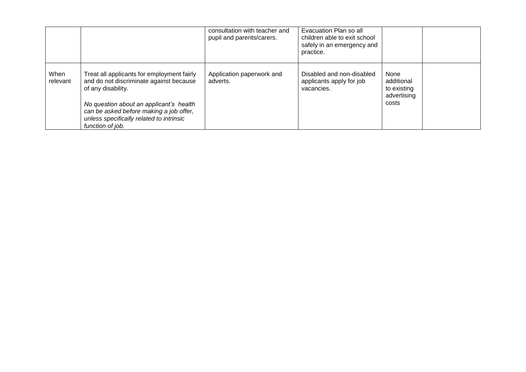|                  |                                                                                                                                                                                                                                                                   | consultation with teacher and<br>pupil and parents/carers. | Evacuation Plan so all<br>children able to exit school<br>safely in an emergency and<br>practice. |                                                           |  |
|------------------|-------------------------------------------------------------------------------------------------------------------------------------------------------------------------------------------------------------------------------------------------------------------|------------------------------------------------------------|---------------------------------------------------------------------------------------------------|-----------------------------------------------------------|--|
| When<br>relevant | Treat all applicants for employment fairly<br>and do not discriminate against because<br>of any disability.<br>No question about an applicant's health<br>can be asked before making a job offer,<br>unless specifically related to intrinsic<br>function of job. | Application paperwork and<br>adverts.                      | Disabled and non-disabled<br>applicants apply for job<br>vacancies.                               | None<br>additional<br>to existing<br>advertising<br>costs |  |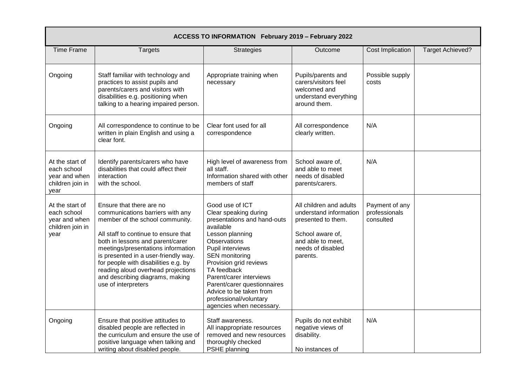| ACCESS TO INFORMATION February 2019 - February 2022                         |                                                                                                                                                                                                                                                                                                                                                                                                   |                                                                                                                                                                                                                                                                                                                                                   |                                                                                                                                                   |                                              |                         |  |  |  |
|-----------------------------------------------------------------------------|---------------------------------------------------------------------------------------------------------------------------------------------------------------------------------------------------------------------------------------------------------------------------------------------------------------------------------------------------------------------------------------------------|---------------------------------------------------------------------------------------------------------------------------------------------------------------------------------------------------------------------------------------------------------------------------------------------------------------------------------------------------|---------------------------------------------------------------------------------------------------------------------------------------------------|----------------------------------------------|-------------------------|--|--|--|
| <b>Time Frame</b>                                                           | <b>Targets</b>                                                                                                                                                                                                                                                                                                                                                                                    | Strategies                                                                                                                                                                                                                                                                                                                                        | Outcome                                                                                                                                           | <b>Cost Implication</b>                      | <b>Target Achieved?</b> |  |  |  |
| Ongoing                                                                     | Staff familiar with technology and<br>practices to assist pupils and<br>parents/carers and visitors with<br>disabilities e.g. positioning when<br>talking to a hearing impaired person.                                                                                                                                                                                                           | Appropriate training when<br>necessary                                                                                                                                                                                                                                                                                                            | Pupils/parents and<br>carers/visitors feel<br>welcomed and<br>understand everything<br>around them.                                               | Possible supply<br>costs                     |                         |  |  |  |
| Ongoing                                                                     | All correspondence to continue to be<br>written in plain English and using a<br>clear font.                                                                                                                                                                                                                                                                                                       | Clear font used for all<br>correspondence                                                                                                                                                                                                                                                                                                         | All correspondence<br>clearly written.                                                                                                            | N/A                                          |                         |  |  |  |
| At the start of<br>each school<br>year and when<br>children join in<br>year | Identify parents/carers who have<br>disabilities that could affect their<br>interaction<br>with the school.                                                                                                                                                                                                                                                                                       | High level of awareness from<br>all staff.<br>Information shared with other<br>members of staff                                                                                                                                                                                                                                                   | School aware of,<br>and able to meet<br>needs of disabled<br>parents/carers.                                                                      | N/A                                          |                         |  |  |  |
| At the start of<br>each school<br>year and when<br>children join in<br>year | Ensure that there are no<br>communications barriers with any<br>member of the school community.<br>All staff to continue to ensure that<br>both in lessons and parent/carer<br>meetings/presentations information<br>is presented in a user-friendly way.<br>for people with disabilities e.g. by<br>reading aloud overhead projections<br>and describing diagrams, making<br>use of interpreters | Good use of ICT<br>Clear speaking during<br>presentations and hand-outs<br>available<br>Lesson planning<br>Observations<br>Pupil interviews<br>SEN monitoring<br>Provision grid reviews<br>TA feedback<br>Parent/carer interviews<br>Parent/carer questionnaires<br>Advice to be taken from<br>professional/voluntary<br>agencies when necessary. | All children and adults<br>understand information<br>presented to them.<br>School aware of,<br>and able to meet.<br>needs of disabled<br>parents. | Payment of any<br>professionals<br>consulted |                         |  |  |  |
| Ongoing                                                                     | Ensure that positive attitudes to<br>disabled people are reflected in<br>the curriculum and ensure the use of<br>positive language when talking and<br>writing about disabled people.                                                                                                                                                                                                             | Staff awareness.<br>All inappropriate resources<br>removed and new resources<br>thoroughly checked<br>PSHE planning                                                                                                                                                                                                                               | Pupils do not exhibit<br>negative views of<br>disability.<br>No instances of                                                                      | N/A                                          |                         |  |  |  |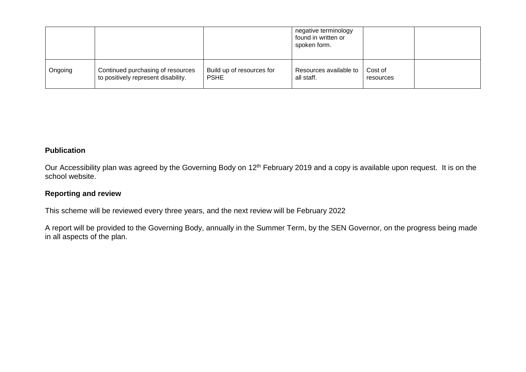|         |                                                                          |                                          | negative terminology<br>found in written or<br>spoken form. |                      |  |
|---------|--------------------------------------------------------------------------|------------------------------------------|-------------------------------------------------------------|----------------------|--|
| Ongoing | Continued purchasing of resources<br>to positively represent disability. | Build up of resources for<br><b>PSHE</b> | Resources available to<br>all staff.                        | Cost of<br>resources |  |

## **Publication**

Our Accessibility plan was agreed by the Governing Body on 12<sup>th</sup> February 2019 and a copy is available upon request. It is on the school website.

## **Reporting and review**

This scheme will be reviewed every three years, and the next review will be February 2022

A report will be provided to the Governing Body, annually in the Summer Term, by the SEN Governor, on the progress being made in all aspects of the plan.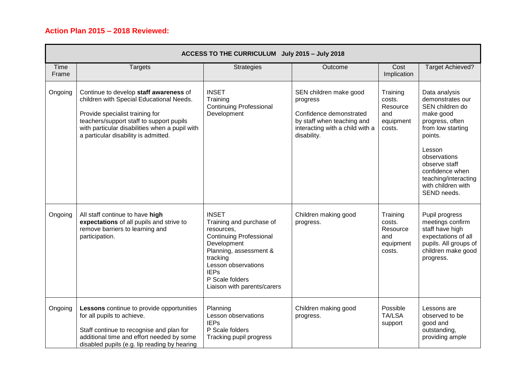## **Action Plan 2015 – 2018 Reviewed:**

|               | ACCESS TO THE CURRICULUM July 2015 - July 2018                                                                                                                                                                                                              |                                                                                                                                                                                                                                       |                                                                                                                                               |                                                              |                                                                                                                                                                                                                                                 |  |  |  |
|---------------|-------------------------------------------------------------------------------------------------------------------------------------------------------------------------------------------------------------------------------------------------------------|---------------------------------------------------------------------------------------------------------------------------------------------------------------------------------------------------------------------------------------|-----------------------------------------------------------------------------------------------------------------------------------------------|--------------------------------------------------------------|-------------------------------------------------------------------------------------------------------------------------------------------------------------------------------------------------------------------------------------------------|--|--|--|
| Time<br>Frame | <b>Targets</b>                                                                                                                                                                                                                                              | <b>Strategies</b>                                                                                                                                                                                                                     | Outcome                                                                                                                                       | Cost<br>Implication                                          | <b>Target Achieved?</b>                                                                                                                                                                                                                         |  |  |  |
| Ongoing       | Continue to develop staff awareness of<br>children with Special Educational Needs.<br>Provide specialist training for<br>teachers/support staff to support pupils<br>with particular disabilities when a pupil with<br>a particular disability is admitted. | <b>INSET</b><br>Training<br><b>Continuing Professional</b><br>Development                                                                                                                                                             | SEN children make good<br>progress<br>Confidence demonstrated<br>by staff when teaching and<br>interacting with a child with a<br>disability. | Training<br>costs.<br>Resource<br>and<br>equipment<br>costs. | Data analysis<br>demonstrates our<br>SEN children do<br>make good<br>progress, often<br>from low starting<br>points.<br>Lesson<br>observations<br>observe staff<br>confidence when<br>teaching/interacting<br>with children with<br>SEND needs. |  |  |  |
| Ongoing       | All staff continue to have high<br>expectations of all pupils and strive to<br>remove barriers to learning and<br>participation.                                                                                                                            | <b>INSET</b><br>Training and purchase of<br>resources,<br><b>Continuing Professional</b><br>Development<br>Planning, assessment &<br>tracking<br>Lesson observations<br><b>IEPs</b><br>P Scale folders<br>Liaison with parents/carers | Children making good<br>progress.                                                                                                             | Training<br>costs.<br>Resource<br>and<br>equipment<br>costs. | Pupil progress<br>meetings confirm<br>staff have high<br>expectations of all<br>pupils. All groups of<br>children make good<br>progress.                                                                                                        |  |  |  |
| Ongoing       | Lessons continue to provide opportunities<br>for all pupils to achieve.<br>Staff continue to recognise and plan for<br>additional time and effort needed by some<br>disabled pupils (e.g. lip reading by hearing                                            | Planning<br>Lesson observations<br><b>IEPs</b><br>P Scale folders<br>Tracking pupil progress                                                                                                                                          | Children making good<br>progress.                                                                                                             | Possible<br><b>TA/LSA</b><br>support                         | Lessons are<br>observed to be<br>good and<br>outstanding,<br>providing ample                                                                                                                                                                    |  |  |  |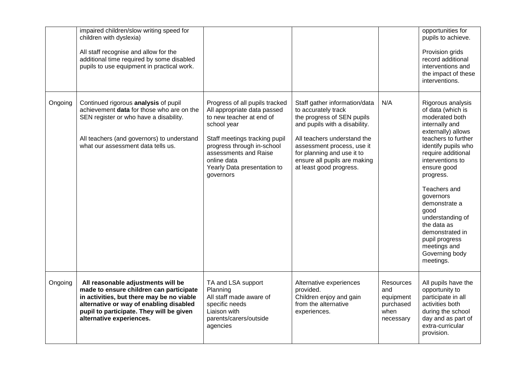|         | impaired children/slow writing speed for<br>children with dyslexia)<br>All staff recognise and allow for the<br>additional time required by some disabled<br>pupils to use equipment in practical work.                                       |                                                                                                                                                                                                                                                             |                                                                                                                                                                                                                                                                           |                                                                 | opportunities for<br>pupils to achieve.<br>Provision grids<br>record additional<br>interventions and<br>the impact of these<br>interventions.                                                                                                                                                                                                                                                     |
|---------|-----------------------------------------------------------------------------------------------------------------------------------------------------------------------------------------------------------------------------------------------|-------------------------------------------------------------------------------------------------------------------------------------------------------------------------------------------------------------------------------------------------------------|---------------------------------------------------------------------------------------------------------------------------------------------------------------------------------------------------------------------------------------------------------------------------|-----------------------------------------------------------------|---------------------------------------------------------------------------------------------------------------------------------------------------------------------------------------------------------------------------------------------------------------------------------------------------------------------------------------------------------------------------------------------------|
| Ongoing | Continued rigorous analysis of pupil<br>achievement data for those who are on the<br>SEN register or who have a disability.<br>All teachers (and governors) to understand<br>what our assessment data tells us.                               | Progress of all pupils tracked<br>All appropriate data passed<br>to new teacher at end of<br>school year<br>Staff meetings tracking pupil<br>progress through in-school<br>assessments and Raise<br>online data<br>Yearly Data presentation to<br>governors | Staff gather information/data<br>to accurately track<br>the progress of SEN pupils<br>and pupils with a disability.<br>All teachers understand the<br>assessment process, use it<br>for planning and use it to<br>ensure all pupils are making<br>at least good progress. | N/A                                                             | Rigorous analysis<br>of data (which is<br>moderated both<br>internally and<br>externally) allows<br>teachers to further<br>identify pupils who<br>require additional<br>interventions to<br>ensure good<br>progress.<br>Teachers and<br>governors<br>demonstrate a<br>good<br>understanding of<br>the data as<br>demonstrated in<br>pupil progress<br>meetings and<br>Governing body<br>meetings. |
| Ongoing | All reasonable adjustments will be<br>made to ensure children can participate<br>in activities, but there may be no viable<br>alternative or way of enabling disabled<br>pupil to participate. They will be given<br>alternative experiences. | TA and LSA support<br>Planning<br>All staff made aware of<br>specific needs<br>Liaison with<br>parents/carers/outside<br>agencies                                                                                                                           | Alternative experiences<br>provided.<br>Children enjoy and gain<br>from the alternative<br>experiences.                                                                                                                                                                   | Resources<br>and<br>equipment<br>purchased<br>when<br>necessary | All pupils have the<br>opportunity to<br>participate in all<br>activities both<br>during the school<br>day and as part of<br>extra-curricular<br>provision.                                                                                                                                                                                                                                       |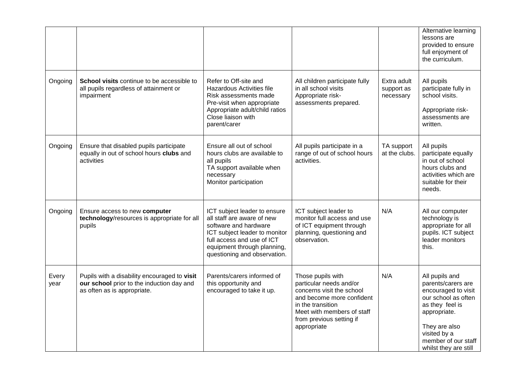|               |                                                                                                                          |                                                                                                                                                                                                                   |                                                                                                                                                                                                      |                                        | Alternative learning<br>lessons are<br>provided to ensure<br>full enjoyment of<br>the curriculum.                                                                                                      |
|---------------|--------------------------------------------------------------------------------------------------------------------------|-------------------------------------------------------------------------------------------------------------------------------------------------------------------------------------------------------------------|------------------------------------------------------------------------------------------------------------------------------------------------------------------------------------------------------|----------------------------------------|--------------------------------------------------------------------------------------------------------------------------------------------------------------------------------------------------------|
| Ongoing       | School visits continue to be accessible to<br>all pupils regardless of attainment or<br>impairment                       | Refer to Off-site and<br><b>Hazardous Activities file</b><br>Risk assessments made<br>Pre-visit when appropriate<br>Appropriate adult/child ratios<br>Close liaison with<br>parent/carer                          | All children participate fully<br>in all school visits<br>Appropriate risk-<br>assessments prepared.                                                                                                 | Extra adult<br>support as<br>necessary | All pupils<br>participate fully in<br>school visits.<br>Appropriate risk-<br>assessments are<br>written.                                                                                               |
| Ongoing       | Ensure that disabled pupils participate<br>equally in out of school hours clubs and<br>activities                        | Ensure all out of school<br>hours clubs are available to<br>all pupils<br>TA support available when<br>necessary<br>Monitor participation                                                                         | All pupils participate in a<br>range of out of school hours<br>activities.                                                                                                                           | TA support<br>at the clubs.            | All pupils<br>participate equally<br>in out of school<br>hours clubs and<br>activities which are<br>suitable for their<br>needs.                                                                       |
| Ongoing       | Ensure access to new computer<br>technology/resources is appropriate for all<br>pupils                                   | ICT subject leader to ensure<br>all staff are aware of new<br>software and hardware<br>ICT subject leader to monitor<br>full access and use of ICT<br>equipment through planning,<br>questioning and observation. | ICT subject leader to<br>monitor full access and use<br>of ICT equipment through<br>planning, questioning and<br>observation.                                                                        | N/A                                    | All our computer<br>technology is<br>appropriate for all<br>pupils. ICT subject<br>leader monitors<br>this.                                                                                            |
| Every<br>year | Pupils with a disability encouraged to visit<br>our school prior to the induction day and<br>as often as is appropriate. | Parents/carers informed of<br>this opportunity and<br>encouraged to take it up.                                                                                                                                   | Those pupils with<br>particular needs and/or<br>concerns visit the school<br>and become more confident<br>in the transition<br>Meet with members of staff<br>from previous setting if<br>appropriate | N/A                                    | All pupils and<br>parents/carers are<br>encouraged to visit<br>our school as often<br>as they feel is<br>appropriate.<br>They are also<br>visited by a<br>member of our staff<br>whilst they are still |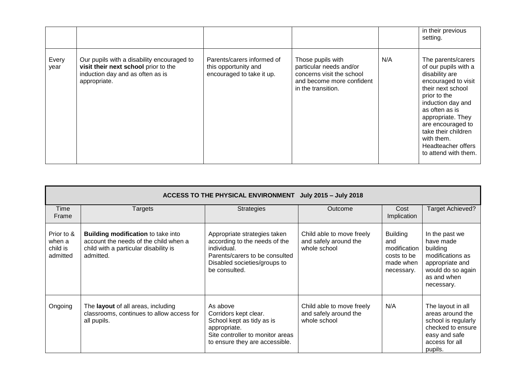|               |                                                                                                                                        |                                                                                 |                                                                                                                              |     | in their previous<br>setting.                                                                                                                                                                                                                                                                |
|---------------|----------------------------------------------------------------------------------------------------------------------------------------|---------------------------------------------------------------------------------|------------------------------------------------------------------------------------------------------------------------------|-----|----------------------------------------------------------------------------------------------------------------------------------------------------------------------------------------------------------------------------------------------------------------------------------------------|
| Every<br>year | Our pupils with a disability encouraged to<br>visit their next school prior to the<br>induction day and as often as is<br>appropriate. | Parents/carers informed of<br>this opportunity and<br>encouraged to take it up. | Those pupils with<br>particular needs and/or<br>concerns visit the school<br>and become more confident<br>in the transition. | N/A | The parents/carers<br>of our pupils with a<br>disability are<br>encouraged to visit<br>their next school<br>prior to the<br>induction day and<br>as often as is<br>appropriate. They<br>are encouraged to<br>take their children<br>with them.<br>Headteacher offers<br>to attend with them. |

|                                              | ACCESS TO THE PHYSICAL ENVIRONMENT<br>July 2015 - July 2018                                                                              |                                                                                                                                                                 |                                                                    |                                                                                  |                                                                                                                                  |  |  |  |  |
|----------------------------------------------|------------------------------------------------------------------------------------------------------------------------------------------|-----------------------------------------------------------------------------------------------------------------------------------------------------------------|--------------------------------------------------------------------|----------------------------------------------------------------------------------|----------------------------------------------------------------------------------------------------------------------------------|--|--|--|--|
| Time<br>Frame                                | <b>Targets</b>                                                                                                                           | <b>Strategies</b>                                                                                                                                               | Outcome                                                            | Cost<br>Implication                                                              | Target Achieved?                                                                                                                 |  |  |  |  |
| Prior to &<br>when a<br>child is<br>admitted | <b>Building modification to take into</b><br>account the needs of the child when a<br>child with a particular disability is<br>admitted. | Appropriate strategies taken<br>according to the needs of the<br>individual.<br>Parents/carers to be consulted<br>Disabled societies/groups to<br>be consulted. | Child able to move freely<br>and safely around the<br>whole school | <b>Building</b><br>and<br>modification<br>costs to be<br>made when<br>necessary. | In the past we<br>have made<br>building<br>modifications as<br>appropriate and<br>would do so again<br>as and when<br>necessary. |  |  |  |  |
| Ongoing                                      | The layout of all areas, including<br>classrooms, continues to allow access for<br>all pupils.                                           | As above<br>Corridors kept clear.<br>School kept as tidy as is<br>appropriate.<br>Site controller to monitor areas<br>to ensure they are accessible.            | Child able to move freely<br>and safely around the<br>whole school | N/A                                                                              | The layout in all<br>areas around the<br>school is regularly<br>checked to ensure<br>easy and safe<br>access for all<br>pupils.  |  |  |  |  |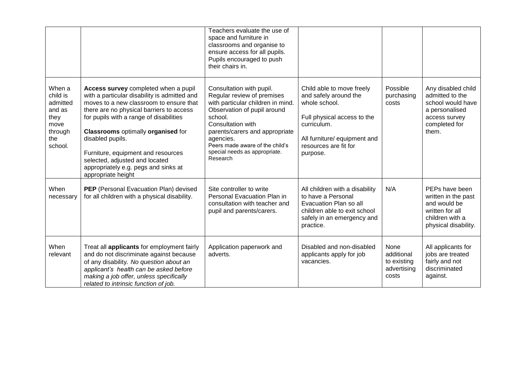|                                                                                       |                                                                                                                                                                                                                                                                                                                                                                                                                               | Teachers evaluate the use of<br>space and furniture in<br>classrooms and organise to<br>ensure access for all pupils.<br>Pupils encouraged to push<br>their chairs in.                                                                                                                    |                                                                                                                                                                                        |                                                           |                                                                                                                         |
|---------------------------------------------------------------------------------------|-------------------------------------------------------------------------------------------------------------------------------------------------------------------------------------------------------------------------------------------------------------------------------------------------------------------------------------------------------------------------------------------------------------------------------|-------------------------------------------------------------------------------------------------------------------------------------------------------------------------------------------------------------------------------------------------------------------------------------------|----------------------------------------------------------------------------------------------------------------------------------------------------------------------------------------|-----------------------------------------------------------|-------------------------------------------------------------------------------------------------------------------------|
| When a<br>child is<br>admitted<br>and as<br>they<br>move<br>through<br>the<br>school. | Access survey completed when a pupil<br>with a particular disability is admitted and<br>moves to a new classroom to ensure that<br>there are no physical barriers to access<br>for pupils with a range of disabilities<br><b>Classrooms optimally organised for</b><br>disabled pupils.<br>Furniture, equipment and resources<br>selected, adjusted and located<br>appropriately e.g. pegs and sinks at<br>appropriate height | Consultation with pupil.<br>Regular review of premises<br>with particular children in mind.<br>Observation of pupil around<br>school.<br>Consultation with<br>parents/carers and appropriate<br>agencies.<br>Peers made aware of the child's<br>special needs as appropriate.<br>Research | Child able to move freely<br>and safely around the<br>whole school.<br>Full physical access to the<br>curriculum.<br>All furniture/ equipment and<br>resources are fit for<br>purpose. | Possible<br>purchasing<br>costs                           | Any disabled child<br>admitted to the<br>school would have<br>a personalised<br>access survey<br>completed for<br>them. |
| When<br>necessary                                                                     | PEP (Personal Evacuation Plan) devised<br>for all children with a physical disability.                                                                                                                                                                                                                                                                                                                                        | Site controller to write<br>Personal Evacuation Plan in<br>consultation with teacher and<br>pupil and parents/carers.                                                                                                                                                                     | All children with a disability<br>to have a Personal<br>Evacuation Plan so all<br>children able to exit school<br>safely in an emergency and<br>practice.                              | N/A                                                       | PEPs have been<br>written in the past<br>and would be<br>written for all<br>children with a<br>physical disability.     |
| When<br>relevant                                                                      | Treat all <b>applicants</b> for employment fairly<br>and do not discriminate against because<br>of any disability. No question about an<br>applicant's health can be asked before<br>making a job offer, unless specifically<br>related to intrinsic function of job.                                                                                                                                                         | Application paperwork and<br>adverts.                                                                                                                                                                                                                                                     | Disabled and non-disabled<br>applicants apply for job<br>vacancies.                                                                                                                    | None<br>additional<br>to existing<br>advertising<br>costs | All applicants for<br>jobs are treated<br>fairly and not<br>discriminated<br>against.                                   |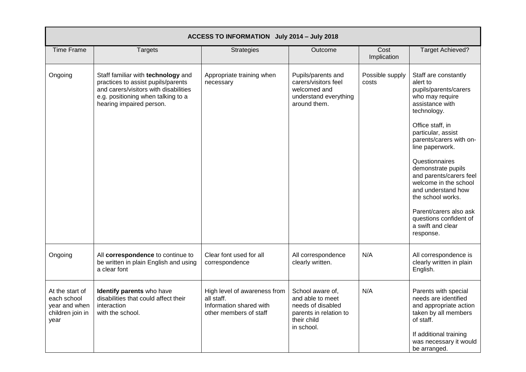| ACCESS TO INFORMATION July 2014 - July 2018                                 |                                                                                                                                                                                     |                                                                                                 |                                                                                                                  |                          |                                                                                                                                                                                                                                                                                                                                                                                                                                     |  |  |
|-----------------------------------------------------------------------------|-------------------------------------------------------------------------------------------------------------------------------------------------------------------------------------|-------------------------------------------------------------------------------------------------|------------------------------------------------------------------------------------------------------------------|--------------------------|-------------------------------------------------------------------------------------------------------------------------------------------------------------------------------------------------------------------------------------------------------------------------------------------------------------------------------------------------------------------------------------------------------------------------------------|--|--|
| <b>Time Frame</b>                                                           | <b>Targets</b>                                                                                                                                                                      | <b>Strategies</b>                                                                               | Outcome                                                                                                          | Cost<br>Implication      | <b>Target Achieved?</b>                                                                                                                                                                                                                                                                                                                                                                                                             |  |  |
| Ongoing                                                                     | Staff familiar with technology and<br>practices to assist pupils/parents<br>and carers/visitors with disabilities<br>e.g. positioning when talking to a<br>hearing impaired person. | Appropriate training when<br>necessary                                                          | Pupils/parents and<br>carers/visitors feel<br>welcomed and<br>understand everything<br>around them.              | Possible supply<br>costs | Staff are constantly<br>alert to<br>pupils/parents/carers<br>who may require<br>assistance with<br>technology.<br>Office staff, in<br>particular, assist<br>parents/carers with on-<br>line paperwork.<br>Questionnaires<br>demonstrate pupils<br>and parents/carers feel<br>welcome in the school<br>and understand how<br>the school works.<br>Parent/carers also ask<br>questions confident of<br>a swift and clear<br>response. |  |  |
| Ongoing                                                                     | All correspondence to continue to<br>be written in plain English and using<br>a clear font                                                                                          | Clear font used for all<br>correspondence                                                       | All correspondence<br>clearly written.                                                                           | N/A                      | All correspondence is<br>clearly written in plain<br>English.                                                                                                                                                                                                                                                                                                                                                                       |  |  |
| At the start of<br>each school<br>year and when<br>children join in<br>year | Identify parents who have<br>disabilities that could affect their<br>interaction<br>with the school.                                                                                | High level of awareness from<br>all staff.<br>Information shared with<br>other members of staff | School aware of,<br>and able to meet<br>needs of disabled<br>parents in relation to<br>their child<br>in school. | N/A                      | Parents with special<br>needs are identified<br>and appropriate action<br>taken by all members<br>of staff.<br>If additional training<br>was necessary it would<br>be arranged.                                                                                                                                                                                                                                                     |  |  |